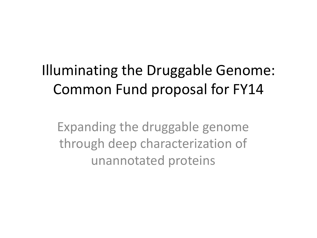# Illuminating the Druggable Genome: Common Fund proposal for FY14

Expanding the druggable genome through deep characterization of unannotated proteins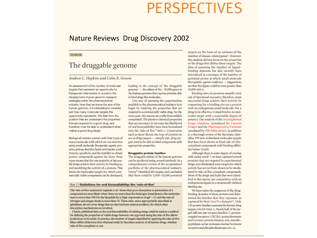### **PERSPECTIVES**

#### Nature Reviews Drug Discovery 2002

#### OPINION

#### The druggable genome

#### Andrew L. Hopkins and Colin R. Groom

An assessment of the human growth of the concept of the artuggable<br>
targets that represent an opportunity for<br>
the human genome'— the subset of the ~30,000 genes in 10,000 (REES).<br>
the human genome that express proteins ab human genome, it is interesting to consider just how many molecular targets this opportunity represents. We start from the position that we understand the properties that are required for a good drug, and therefore must be able to understand what makes a good drug target.

Biological systems contain only four types of macromolecule with which we can interfere using small-molecule therapeutic agents: proteins, polysaccharides, lipids and nucleic acids. Toxicity, specificity and the inability to obtain potent compounds against the latter three types means that the vast majority of successful drugs achieve their activity by binding to, and modifying the activity of, a protein. This limits the molecular targets for which commercially viable compounds can be developed,

begin by studying the properties that are required in a commercially viable drug. For the most part, this means an orally bioavailable compound. The physico-chemical properties that are necessary to increase the likelihood of oral bioavailability have been formalized into the 'rule-of-five'<sup>1</sup> (BOX 1). Constraints such as these dictate the type of protein we see as drug targets - simply put, drug targets need to be able to bind compounds with appropriate properties.

#### **Druggable protein families**

The druggable subset of the human genome can be predicted using several methods. In a comprehensive review of the accumulated portfolio of the pharmaceutical industry, Drews<sup>23</sup> identified 483 targets, and concluded that there could be 5,000-10,000 potential

#### Box 1 | Guidelines for oral bioavailability: the 'rule-of-five'

The 'rule-of-five' analysis by Lipinski et al.<sup>1</sup> shows that poor absorption or permeation of a compound are more likely when: there are more than five hydrogen-bond donors; the molecular mass is more than 500 Da; the lipophilicity is high (expressed as  $cLogP > 5$ ); and the sum of nitrogen and oxygen atoms is more than 10. These rules, more appropriately described as guidelines, do not cover drugs that are derived from natural products, for which other absorption mechanisms are involved.

Clearly, published data on the oral bioavailability of existing drugs could be used as a method for defining the properties of viable drugs; however, our approach using the rule-of-five allows predictions to be made. In practice, the number of targets identified by applying the rule-of-five filters differs little from that obtained solely by literature analysis of all known drugs, whether rule-of-five compliant or not.

targets on the basis of an estimate of the number of disease-related genes<sup>4</sup>. However, this analysis did not focus on the properties of the drugs that define those targets. The idea of assessing the number of ligandbinding domains has also recently been introduced as a measure of the number of potential points at which small-molecule therapeutic agents could act - suggestions

with an endogenous small molecule. For a drug to be effective, it must bind to its molecular target with a reasonable degree of potency. Our analysis of the Investigational Drugs Database (produced by Current Drugs) and the Pharmaprojects Database (produced by PJB Publications), in addition to a thorough review of the literature, identifies 399 non-redundant molecular targets that have been shown to bind rule-of-fivecompliant compounds with binding affinities below 10 uM.

Although there is some degree of overlap with earlier work<sup>2-4</sup>, we have captured several proteins that are targeted by experimental drugs, and eliminated some targets for which activity has not yet been shown to be modulated by rule-of-five-compliant compounds. Most of the drugs and leads that were identified in this survey are competitive with an endogenous ligand at a structurally defined binding site.

We have taken the sequences of the drugbinding domains of these proteins and determined the families that they represent, as captured by their InterPro domain<sup>6,7</sup>. Only 130 protein families represent the known drug targets (ONLINETABLE 1). Nearly half of the targets fall into just six gene families: G-proteincoupled receptors (GPCRs), serine/threonine and tyrosine protein kinases, zinc metallopeptidases, serine proteases, nuclear hormone receptors and phosphodiesterases (FIG. 1a).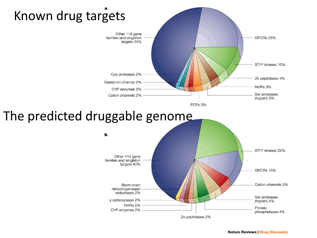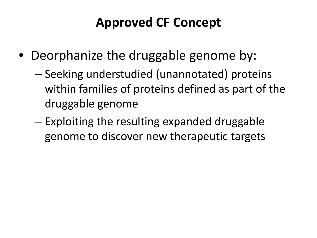### **Approved CF Concept**

- Deorphanize the druggable genome by:
	- Seeking understudied (unannotated) proteins within families of proteins defined as part of the druggable genome
	- Exploiting the resulting expanded druggable genome to discover new therapeutic targets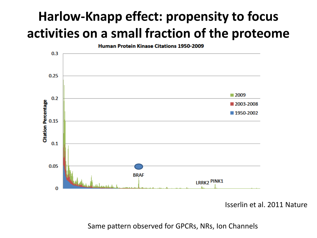## **Harlow-Knapp effect: propensity to focus activities on a small fraction of the proteome**



Isserlin et al. 2011 Nature

Same pattern observed for GPCRs, NRs, Ion Channels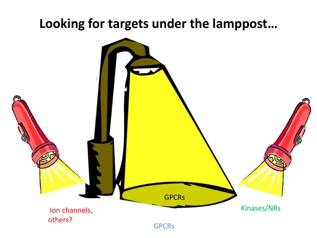#### **Looking for targets under the lamppost…**

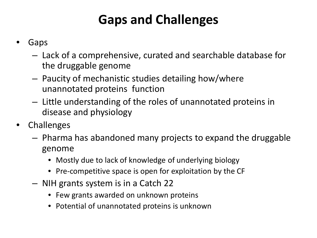## **Gaps and Challenges**

- **Gaps** 
	- Lack of a comprehensive, curated and searchable database for the druggable genome
	- Paucity of mechanistic studies detailing how/where unannotated proteins function
	- Little understanding of the roles of unannotated proteins in disease and physiology
- **Challenges** 
	- Pharma has abandoned many projects to expand the druggable genome
		- Mostly due to lack of knowledge of underlying biology
		- Pre-competitive space is open for exploitation by the CF
	- NIH grants system is in a Catch 22
		- Few grants awarded on unknown proteins
		- Potential of unannotated proteins is unknown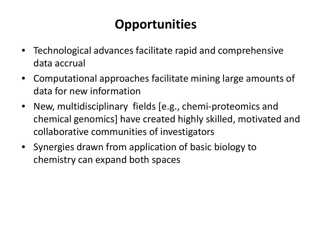### **Opportunities**

- Technological advances facilitate rapid and comprehensive data accrual
- Computational approaches facilitate mining large amounts of data for new information
- New, multidisciplinary fields [e.g., chemi-proteomics and chemical genomics] have created highly skilled, motivated and collaborative communities of investigators
- Synergies drawn from application of basic biology to chemistry can expand both spaces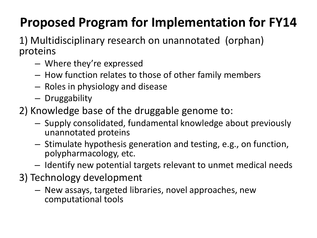## **Proposed Program for Implementation for FY14**

1) Multidisciplinary research on unannotated (orphan) proteins

- Where they're expressed
- How function relates to those of other family members
- Roles in physiology and disease
- Druggability
- 2) Knowledge base of the druggable genome to:
	- Supply consolidated, fundamental knowledge about previously unannotated proteins
	- Stimulate hypothesis generation and testing, e.g., on function, polypharmacology, etc.
	- Identify new potential targets relevant to unmet medical needs
- 3) Technology development
	- New assays, targeted libraries, novel approaches, new computational tools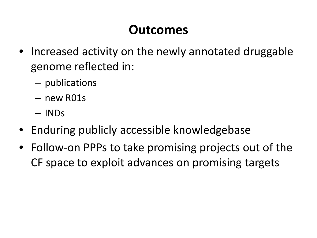#### **Outcomes**

- Increased activity on the newly annotated druggable genome reflected in:
	- publications
	- new R01s
	- INDs
- Enduring publicly accessible knowledgebase
- Follow-on PPPs to take promising projects out of the CF space to exploit advances on promising targets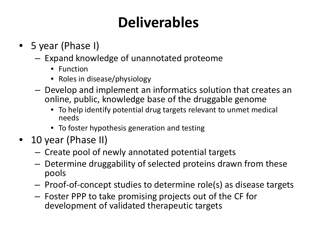# **Deliverables**

- 5 year (Phase I)
	- Expand knowledge of unannotated proteome
		- Function
		- Roles in disease/physiology
	- Develop and implement an informatics solution that creates an online, public, knowledge base of the druggable genome
		- To help identify potential drug targets relevant to unmet medical needs
		- To foster hypothesis generation and testing
- 10 year (Phase II)
	- Create pool of newly annotated potential targets
	- Determine druggability of selected proteins drawn from these pools
	- Proof-of-concept studies to determine role(s) as disease targets
	- Foster PPP to take promising projects out of the CF for development of validated therapeutic targets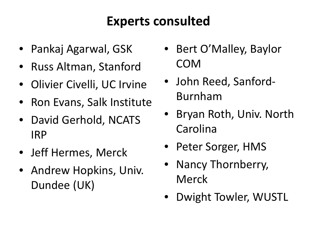### **Experts consulted**

- Pankaj Agarwal, GSK
- Russ Altman, Stanford
- Olivier Civelli, UC Irvine
- Ron Evans, Salk Institute
- David Gerhold, NCATS IRP
- Jeff Hermes, Merck
- Andrew Hopkins, Univ. Dundee (UK)
- Bert O'Malley, Baylor COM
- John Reed, Sanford-Burnham
- Bryan Roth, Univ. North Carolina
- Peter Sorger, HMS
- Nancy Thornberry, Merck
- Dwight Towler, WUSTL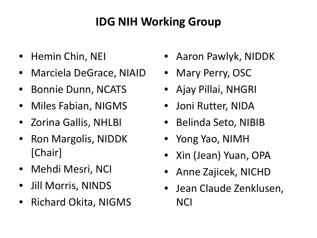#### **IDG NIH Working Group**

- Hemin Chin, NEI
- Marciela DeGrace, NIAID
- Bonnie Dunn, NCATS
- Miles Fabian, NIGMS
- Zorina Gallis, NHLBI
- Ron Margolis, NIDDK [Chair]
- Mehdi Mesri, NCI
- Jill Morris, NINDS
- Richard Okita, NIGMS
- Aaron Pawlyk, NIDDK
- Mary Perry, OSC
- Ajay Pillai, NHGRI
- Joni Rutter, NIDA
- Belinda Seto, NIBIB
- Yong Yao, NIMH
- Xin (Jean) Yuan, OPA
- Anne Zajicek, NICHD
- Jean Claude Zenklusen, **NCI**